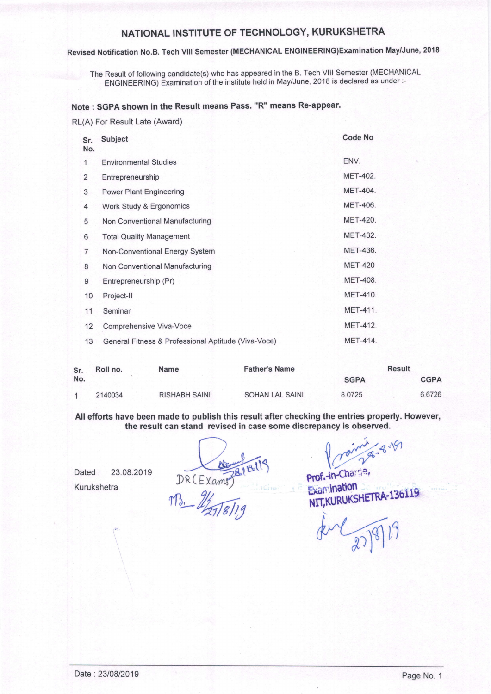## NATIONAL INSTITUTE OF TECHNOLOGY, KURUKSHETRA

### Revised Notification No.B. Tech Vlll Semester (MECHANICAL ENGINEERING)Examination May/June, 2018

The Result of following candidate(s) who has appeared in the B. Tech Vlll Semester (MECHANICAL ENGINEERING) Examination of the institute held in May/June, 2018 is declared as under :-

#### Note : SGPA shown in the Result means Pass. "R" means Re-appear.

RL(A) For Result Late (Award)

| Sr.<br>No.     | Subject                                             | Code No         |
|----------------|-----------------------------------------------------|-----------------|
| $\mathbf{1}$   | <b>Environmental Studies</b>                        | ENV.            |
| 2              | Entrepreneurship                                    | <b>MET-402.</b> |
| 3              | <b>Power Plant Engineering</b>                      | <b>MET-404.</b> |
| 4              | Work Study & Ergonomics                             | <b>MET-406.</b> |
| 5              | Non Conventional Manufacturing                      | <b>MET-420.</b> |
| 6              | <b>Total Quality Management</b>                     | <b>MET-432.</b> |
| $\overline{7}$ | <b>Non-Conventional Energy System</b>               | <b>MET-436.</b> |
| 8              | Non Conventional Manufacturing                      | <b>MET-420</b>  |
| 9              | Entrepreneurship (Pr)                               | <b>MET-408.</b> |
| 10             | Project-II                                          | <b>MET-410.</b> |
| 11             | Seminar                                             | <b>MET-411.</b> |
| 12             | Comprehensive Viva-Voce                             | <b>MET-412.</b> |
| 13             | General Fitness & Professional Aptitude (Viva-Voce) | <b>MET-414.</b> |

| Sr. | Roll no. | <b>Name</b>          | <b>Father's Name</b> | <b>Result</b> |             |
|-----|----------|----------------------|----------------------|---------------|-------------|
| No. |          |                      |                      | <b>SGPA</b>   | <b>CGPA</b> |
|     | 2140034  | <b>RISHABH SAINI</b> | SOHAN LAL SAINI      | 8.0725        | 6.6726      |

All efforts have been made to publish this result after checking the entries proper<br>the result can stand revised in case some discrepancy is observed.<br>Dated: 23.08.2019<br> $\mathbb{R}(\triangle_{\text{A}}\mathbb{R}^{18})$ <br> $\mathbb{R}(\triangle_{\text{A}}\mathbb{R}^{18})$ All efforts have been made to publish this result after checking the entries properly. However, the result can stand revised in case some discrepancy is observed.

Dated: 23.08.2019

Prof - in-Charga, 8-191

 $m_3$ .  $\mathcal{U}_{\text{a}}$   $\overline{\text{b}}$   $\overline{\text{b}}$   $\overline{\text{b}}$   $\overline{\text{b}}$   $\overline{\text{b}}$   $\overline{\text{b}}$   $\overline{\text{b}}$   $\overline{\text{b}}$   $\overline{\text{b}}$   $\overline{\text{b}}$   $\overline{\text{b}}$   $\overline{\text{b}}$   $\overline{\text{b}}$   $\overline{\text{b}}$   $\overline{\text{b}}$   $\overline{\text{b}}$   $\overline{\text{b}}$   $\overline{\text{b}}$   $\$ 

NIT, KURUKSHETRA-136119